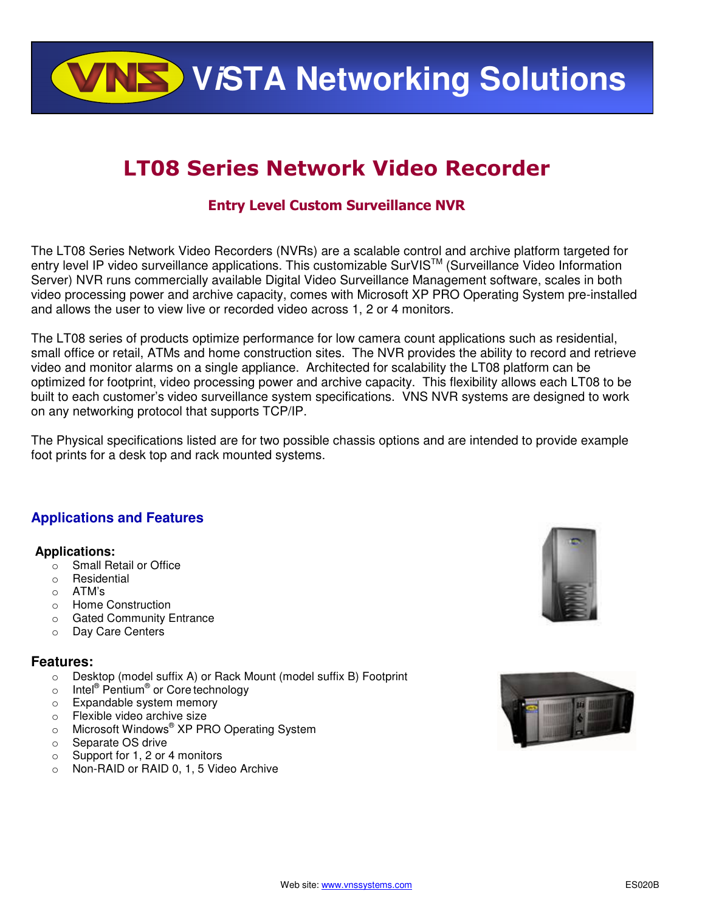**ViSTA Networking Solutions**

# LT08 Series Network Video Recorder

# Entry Level Custom Surveillance NVR

The LT08 Series Network Video Recorders (NVRs) are a scalable control and archive platform targeted for entry level IP video surveillance applications. This customizable SurVIS™ (Surveillance Video Information Server) NVR runs commercially available Digital Video Surveillance Management software, scales in both video processing power and archive capacity, comes with Microsoft XP PRO Operating System pre-installed and allows the user to view live or recorded video across 1, 2 or 4 monitors.

The LT08 series of products optimize performance for low camera count applications such as residential, small office or retail, ATMs and home construction sites. The NVR provides the ability to record and retrieve video and monitor alarms on a single appliance. Architected for scalability the LT08 platform can be optimized for footprint, video processing power and archive capacity. This flexibility allows each LT08 to be built to each customer's video surveillance system specifications. VNS NVR systems are designed to work on any networking protocol that supports TCP/IP.

The Physical specifications listed are for two possible chassis options and are intended to provide example foot prints for a desk top and rack mounted systems.

## **Applications and Features**

#### **Applications:**

- o Small Retail or Office
- o Residential
- o ATM's
- o Home Construction
- o Gated Community Entrance
- o Day Care Centers

### **Features:**

- o Desktop (model suffix A) or Rack Mount (model suffix B) Footprint
- o Intel<sup>®</sup> Pentium<sup>®</sup> or Core technology
- o Expandable system memory
- o Flexible video archive size
- o Microsoft Windows® XP PRO Operating System
- o Separate OS drive
- o Support for 1, 2 or 4 monitors
- o Non-RAID or RAID 0, 1, 5 Video Archive